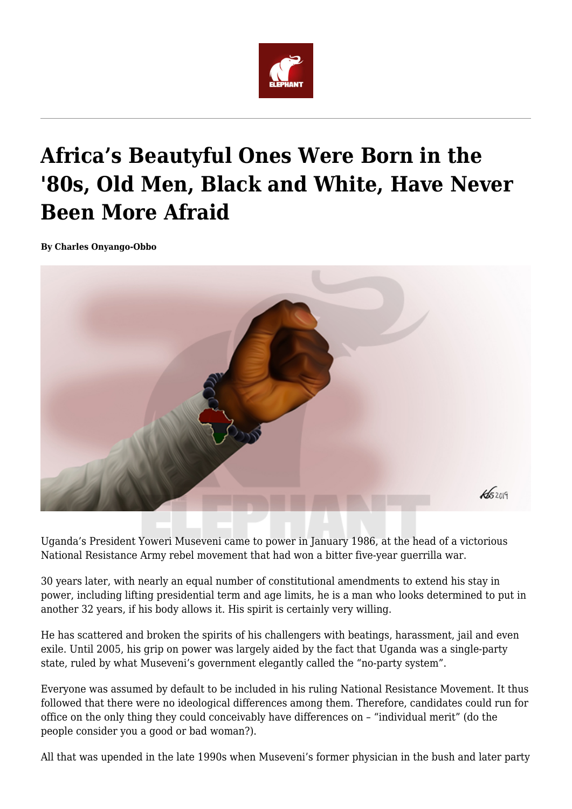

## **Africa's Beautyful Ones Were Born in the '80s, Old Men, Black and White, Have Never Been More Afraid**

**By Charles Onyango-Obbo**



Uganda's President Yoweri Museveni came to power in January 1986, at the head of a victorious National Resistance Army rebel movement that had won a bitter five-year guerrilla war.

30 years later, with nearly an equal number of constitutional amendments to extend his stay in power, including lifting presidential term and age limits, he is a man who looks determined to put in another 32 years, if his body allows it. His spirit is certainly very willing.

He has scattered and broken the spirits of his challengers with beatings, harassment, jail and even exile. Until 2005, his grip on power was largely aided by the fact that Uganda was a single-party state, ruled by what Museveni's government elegantly called the "no-party system".

Everyone was assumed by default to be included in his ruling National Resistance Movement. It thus followed that there were no ideological differences among them. Therefore, candidates could run for office on the only thing they could conceivably have differences on – "individual merit" (do the people consider you a good or bad woman?).

All that was upended in the late 1990s when Museveni's former physician in the bush and later party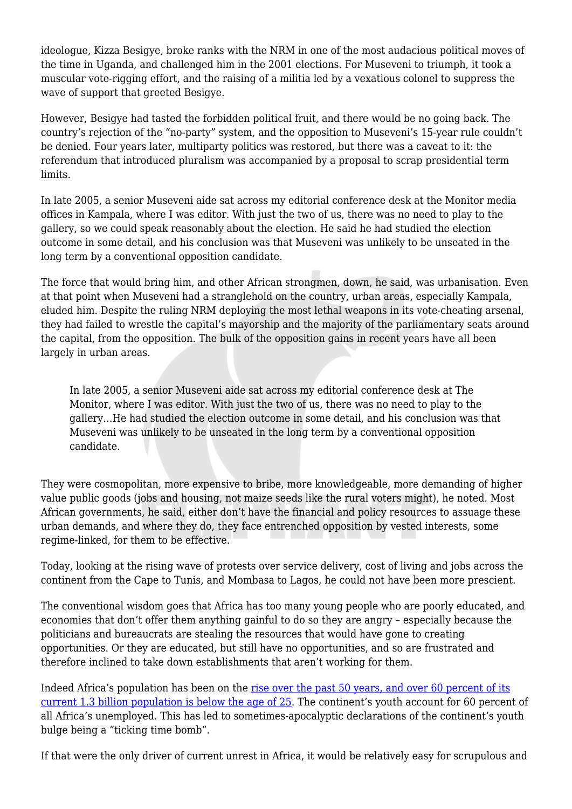ideologue, Kizza Besigye, broke ranks with the NRM in one of the most audacious political moves of the time in Uganda, and challenged him in the 2001 elections. For Museveni to triumph, it took a muscular vote-rigging effort, and the raising of a militia led by a vexatious colonel to suppress the wave of support that greeted Besigye.

However, Besigye had tasted the forbidden political fruit, and there would be no going back. The country's rejection of the "no-party" system, and the opposition to Museveni's 15-year rule couldn't be denied. Four years later, multiparty politics was restored, but there was a caveat to it: the referendum that introduced pluralism was accompanied by a proposal to scrap presidential term limits.

In late 2005, a senior Museveni aide sat across my editorial conference desk at the Monitor media offices in Kampala, where I was editor. With just the two of us, there was no need to play to the gallery, so we could speak reasonably about the election. He said he had studied the election outcome in some detail, and his conclusion was that Museveni was unlikely to be unseated in the long term by a conventional opposition candidate.

The force that would bring him, and other African strongmen, down, he said, was urbanisation. Even at that point when Museveni had a stranglehold on the country, urban areas, especially Kampala, eluded him. Despite the ruling NRM deploying the most lethal weapons in its vote-cheating arsenal, they had failed to wrestle the capital's mayorship and the majority of the parliamentary seats around the capital, from the opposition. The bulk of the opposition gains in recent years have all been largely in urban areas.

In late 2005, a senior Museveni aide sat across my editorial conference desk at The Monitor, where I was editor. With just the two of us, there was no need to play to the gallery…He had studied the election outcome in some detail, and his conclusion was that Museveni was unlikely to be unseated in the long term by a conventional opposition candidate.

They were cosmopolitan, more expensive to bribe, more knowledgeable, more demanding of higher value public goods (jobs and housing, not maize seeds like the rural voters might), he noted. Most African governments, he said, either don't have the financial and policy resources to assuage these urban demands, and where they do, they face entrenched opposition by vested interests, some regime-linked, for them to be effective.

Today, looking at the rising wave of protests over service delivery, cost of living and jobs across the continent from the Cape to Tunis, and Mombasa to Lagos, he could not have been more prescient.

The conventional wisdom goes that Africa has too many young people who are poorly educated, and economies that don't offer them anything gainful to do so they are angry – especially because the politicians and bureaucrats are stealing the resources that would have gone to creating opportunities. Or they are educated, but still have no opportunities, and so are frustrated and therefore inclined to take down establishments that aren't working for them.

Indeed Africa's population has been on the [rise over the past 50 years, and over 60 percent of its](http://mo.ibrahim.foundation/news/2017/africas-growing-youthful-population-reflections-continent-tipping-point/) [current 1.3 billion population is below the age of 25.](http://mo.ibrahim.foundation/news/2017/africas-growing-youthful-population-reflections-continent-tipping-point/) The continent's youth account for 60 percent of all Africa's unemployed. This has led to sometimes-apocalyptic declarations of the continent's youth bulge being a "ticking time bomb".

If that were the only driver of current unrest in Africa, it would be relatively easy for scrupulous and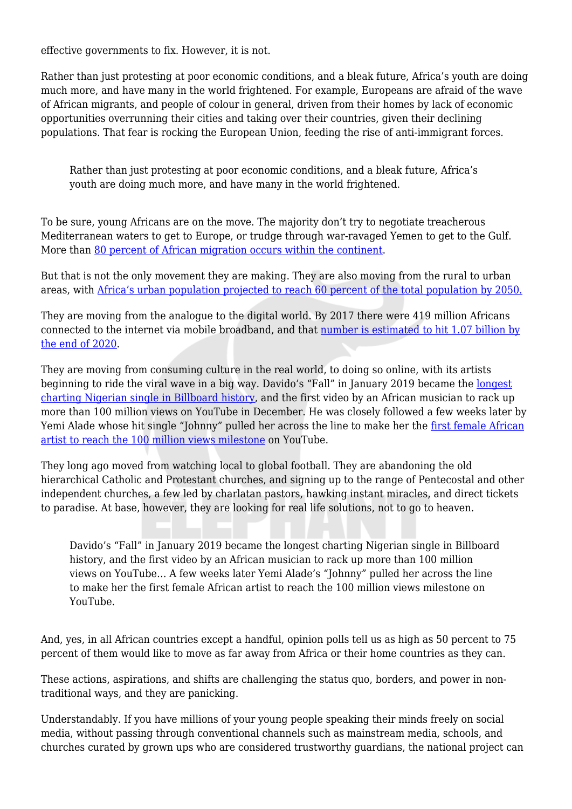effective governments to fix. However, it is not.

Rather than just protesting at poor economic conditions, and a bleak future, Africa's youth are doing much more, and have many in the world frightened. For example, Europeans are afraid of the wave of African migrants, and people of colour in general, driven from their homes by lack of economic opportunities overrunning their cities and taking over their countries, given their declining populations. That fear is rocking the European Union, feeding the rise of anti-immigrant forces.

Rather than just protesting at poor economic conditions, and a bleak future, Africa's youth are doing much more, and have many in the world frightened.

To be sure, young Africans are on the move. The majority don't try to negotiate treacherous Mediterranean waters to get to Europe, or trudge through war-ravaged Yemen to get to the Gulf. More than [80 percent of African migration occurs within the continent](https://publications.iom.int/system/files/pdf/gmdac_data_briefing_series_issue_11.pdf).

But that is not the only movement they are making. They are also moving from the rural to urban areas, with [Africa's urban population projected to reach 60 percent of the total population by 2050.](http://www.un.org/en/development/desa/population/events/pdf/expert/28/EGM_Joseph_Teye_ppt.pdf)

They are moving from the analogue to the digital world. By 2017 there were 419 million Africans connected to the internet via mobile broadband, and that [number is estimated to hit 1.07 billion by](https://af.reuters.com/article/topNews/idAFKBN1D61SV-OZATP) [the end of 2020.](https://af.reuters.com/article/topNews/idAFKBN1D61SV-OZATP)

They are moving from consuming culture in the real world, to doing so online, with its artists beginning to ride the viral wave in a big way. Davido's "Fall" in January 2019 became the [longest](https://www.concisenews.global/2019/02/06/davidos-fall-sets-record-billboard/) [charting Nigerian single in Billboard history](https://www.concisenews.global/2019/02/06/davidos-fall-sets-record-billboard/), and the first video by an African musician to rack up more than 100 million views on YouTube in December. He was closely followed a few weeks later by Yemi Alade whose hit single "Johnny" pulled her across the line to make her the [first female African](https://africanglitz.com/2019/01/28/yemi-alade-becomes-the-first-african-female-artist-to-hit-100-million-views-on-youtube-thanks-to-johnny/) [artist to reach the 100 million views milestone](https://africanglitz.com/2019/01/28/yemi-alade-becomes-the-first-african-female-artist-to-hit-100-million-views-on-youtube-thanks-to-johnny/) on YouTube.

They long ago moved from watching local to global football. They are abandoning the old hierarchical Catholic and Protestant churches, and signing up to the range of Pentecostal and other independent churches, a few led by charlatan pastors, hawking instant miracles, and direct tickets to paradise. At base, however, they are looking for real life solutions, not to go to heaven.

Davido's "Fall" in January 2019 became the longest charting Nigerian single in Billboard history, and the first video by an African musician to rack up more than 100 million views on YouTube… A few weeks later Yemi Alade's "Johnny" pulled her across the line to make her the first female African artist to reach the 100 million views milestone on YouTube.

And, yes, in all African countries except a handful, opinion polls tell us as high as 50 percent to 75 percent of them would like to move as far away from Africa or their home countries as they can.

These actions, aspirations, and shifts are challenging the status quo, borders, and power in nontraditional ways, and they are panicking.

Understandably. If you have millions of your young people speaking their minds freely on social media, without passing through conventional channels such as mainstream media, schools, and churches curated by grown ups who are considered trustworthy guardians, the national project can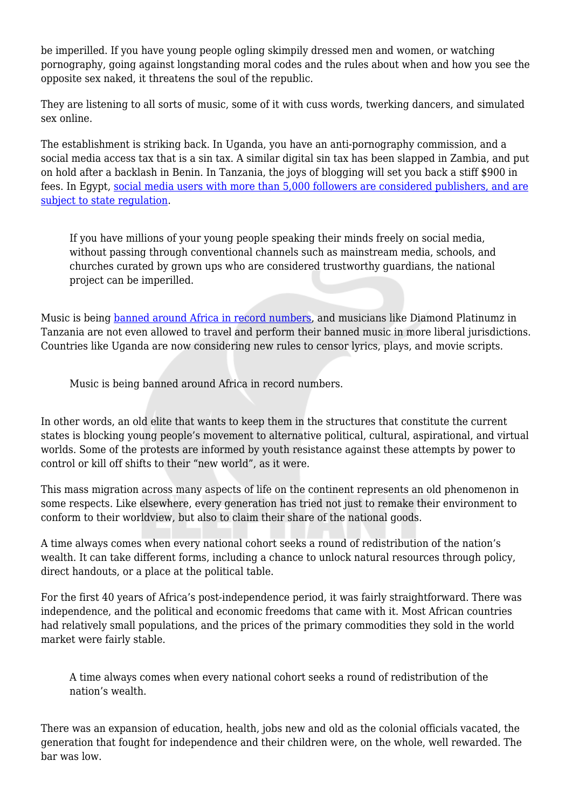be imperilled. If you have young people ogling skimpily dressed men and women, or watching pornography, going against longstanding moral codes and the rules about when and how you see the opposite sex naked, it threatens the soul of the republic.

They are listening to all sorts of music, some of it with cuss words, twerking dancers, and simulated sex online.

The establishment is striking back. In Uganda, you have an anti-pornography commission, and a social media access tax that is a sin tax. A similar digital sin tax has been slapped in Zambia, and put on hold after a backlash in Benin. In Tanzania, the joys of blogging will set you back a stiff \$900 in fees. In Egypt, [social media users with more than 5,000 followers are considered publishers, and are](https://techweez.com/2018/09/03/egypt-ratifies-law-social-media-5000-followers/) [subject to state regulation.](https://techweez.com/2018/09/03/egypt-ratifies-law-social-media-5000-followers/)

If you have millions of your young people speaking their minds freely on social media, without passing through conventional channels such as mainstream media, schools, and churches curated by grown ups who are considered trustworthy guardians, the national project can be imperilled.

Music is being [banned around Africa in record numbers](https://www.theeastafrican.co.ke/oped/comment/Africa-politicians-censorship-music-ban/434750-4858866-10h9hr4/index.html), and musicians like Diamond Platinumz in Tanzania are not even allowed to travel and perform their banned music in more liberal jurisdictions. Countries like Uganda are now considering new rules to censor lyrics, plays, and movie scripts.

Music is being banned around Africa in record numbers.

In other words, an old elite that wants to keep them in the structures that constitute the current states is blocking young people's movement to alternative political, cultural, aspirational, and virtual worlds. Some of the protests are informed by youth resistance against these attempts by power to control or kill off shifts to their "new world", as it were.

This mass migration across many aspects of life on the continent represents an old phenomenon in some respects. Like elsewhere, every generation has tried not just to remake their environment to conform to their worldview, but also to claim their share of the national goods.

A time always comes when every national cohort seeks a round of redistribution of the nation's wealth. It can take different forms, including a chance to unlock natural resources through policy, direct handouts, or a place at the political table.

For the first 40 years of Africa's post-independence period, it was fairly straightforward. There was independence, and the political and economic freedoms that came with it. Most African countries had relatively small populations, and the prices of the primary commodities they sold in the world market were fairly stable.

A time always comes when every national cohort seeks a round of redistribution of the nation's wealth.

There was an expansion of education, health, jobs new and old as the colonial officials vacated, the generation that fought for independence and their children were, on the whole, well rewarded. The bar was low.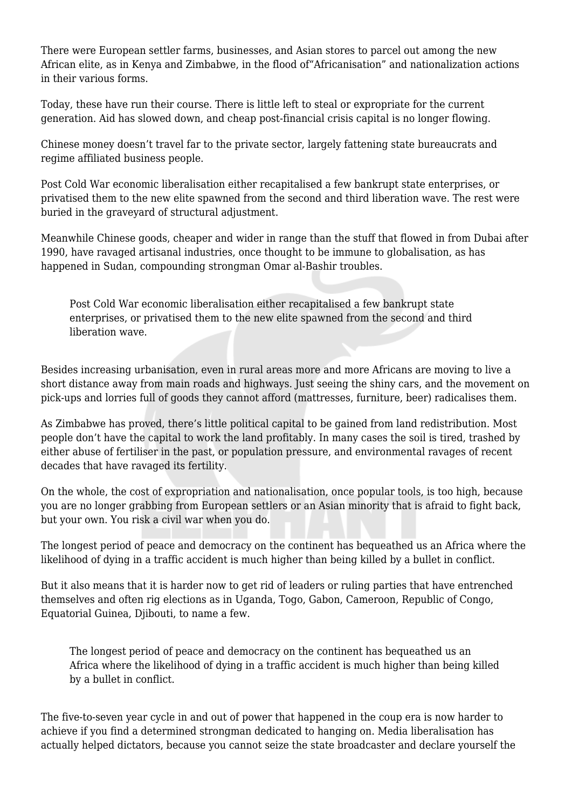There were European settler farms, businesses, and Asian stores to parcel out among the new African elite, as in Kenya and Zimbabwe, in the flood of"Africanisation" and nationalization actions in their various forms.

Today, these have run their course. There is little left to steal or expropriate for the current generation. Aid has slowed down, and cheap post-financial crisis capital is no longer flowing.

Chinese money doesn't travel far to the private sector, largely fattening state bureaucrats and regime affiliated business people.

Post Cold War economic liberalisation either recapitalised a few bankrupt state enterprises, or privatised them to the new elite spawned from the second and third liberation wave. The rest were buried in the graveyard of structural adjustment.

Meanwhile Chinese goods, cheaper and wider in range than the stuff that flowed in from Dubai after 1990, have ravaged artisanal industries, once thought to be immune to globalisation, as has happened in Sudan, compounding strongman Omar al-Bashir troubles.

Post Cold War economic liberalisation either recapitalised a few bankrupt state enterprises, or privatised them to the new elite spawned from the second and third liberation wave.

Besides increasing urbanisation, even in rural areas more and more Africans are moving to live a short distance away from main roads and highways. Just seeing the shiny cars, and the movement on pick-ups and lorries full of goods they cannot afford (mattresses, furniture, beer) radicalises them.

As Zimbabwe has proved, there's little political capital to be gained from land redistribution. Most people don't have the capital to work the land profitably. In many cases the soil is tired, trashed by either abuse of fertiliser in the past, or population pressure, and environmental ravages of recent decades that have ravaged its fertility.

On the whole, the cost of expropriation and nationalisation, once popular tools, is too high, because you are no longer grabbing from European settlers or an Asian minority that is afraid to fight back, but your own. You risk a civil war when you do.

The longest period of peace and democracy on the continent has bequeathed us an Africa where the likelihood of dying in a traffic accident is much higher than being killed by a bullet in conflict.

But it also means that it is harder now to get rid of leaders or ruling parties that have entrenched themselves and often rig elections as in Uganda, Togo, Gabon, Cameroon, Republic of Congo, Equatorial Guinea, Djibouti, to name a few.

The longest period of peace and democracy on the continent has bequeathed us an Africa where the likelihood of dying in a traffic accident is much higher than being killed by a bullet in conflict.

The five-to-seven year cycle in and out of power that happened in the coup era is now harder to achieve if you find a determined strongman dedicated to hanging on. Media liberalisation has actually helped dictators, because you cannot seize the state broadcaster and declare yourself the